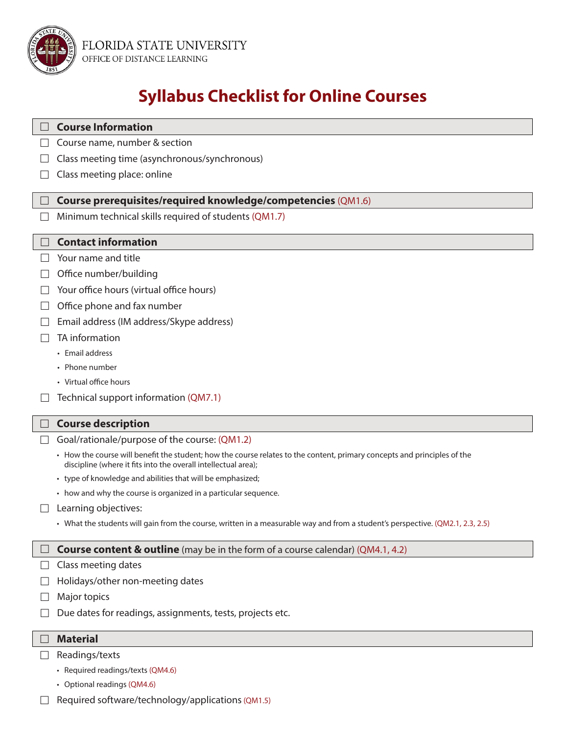

# **Syllabus Checklist for Online Courses**

| <b>Course Information</b>                                                                                                                                                                  |
|--------------------------------------------------------------------------------------------------------------------------------------------------------------------------------------------|
| Course name, number & section                                                                                                                                                              |
| Class meeting time (asynchronous/synchronous)                                                                                                                                              |
| Class meeting place: online                                                                                                                                                                |
| Course prerequisites/required knowledge/competencies (QM1.6)                                                                                                                               |
| Minimum technical skills required of students (QM1.7)                                                                                                                                      |
|                                                                                                                                                                                            |
| <b>Contact information</b>                                                                                                                                                                 |
| Your name and title                                                                                                                                                                        |
| Office number/building                                                                                                                                                                     |
| Your office hours (virtual office hours)                                                                                                                                                   |
| Office phone and fax number                                                                                                                                                                |
| Email address (IM address/Skype address)                                                                                                                                                   |
| TA information                                                                                                                                                                             |
| • Email address                                                                                                                                                                            |
| • Phone number                                                                                                                                                                             |
| • Virtual office hours                                                                                                                                                                     |
| Technical support information (QM7.1)                                                                                                                                                      |
| <b>Course description</b>                                                                                                                                                                  |
| Goal/rationale/purpose of the course: (QM1.2)                                                                                                                                              |
| • How the course will benefit the student; how the course relates to the content, primary concepts and principles of the<br>discipline (where it fits into the overall intellectual area); |
| • type of knowledge and abilities that will be emphasized;                                                                                                                                 |
| • how and why the course is organized in a particular sequence.                                                                                                                            |
| Learning objectives:                                                                                                                                                                       |
| • What the students will gain from the course, written in a measurable way and from a student's perspective. (QM2.1, 2.3, 2.5)                                                             |
| <b>Course content &amp; outline</b> (may be in the form of a course calendar) (QM4.1, 4.2)                                                                                                 |
| Class meeting dates                                                                                                                                                                        |
| Holidays/other non-meeting dates                                                                                                                                                           |
| Major topics                                                                                                                                                                               |
| Due dates for readings, assignments, tests, projects etc.                                                                                                                                  |
|                                                                                                                                                                                            |
| <b>Material</b>                                                                                                                                                                            |
| Readings/texts                                                                                                                                                                             |
| • Required readings/texts (QM4.6)                                                                                                                                                          |

- Optional readings (QM4.6)
- $\Box$  Required software/technology/applications (QM1.5)